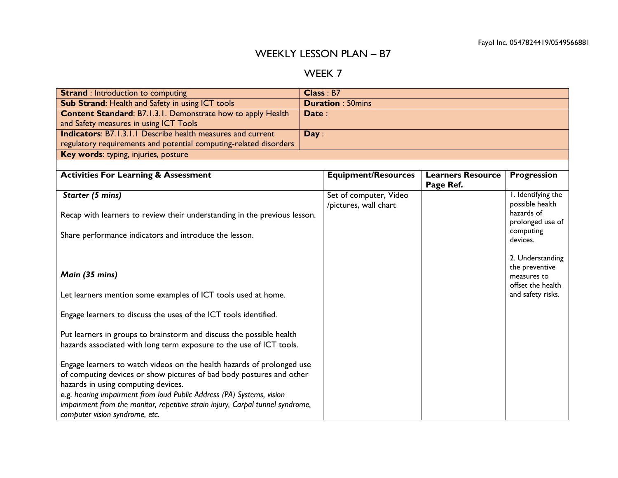## WEEKLY LESSON PLAN – B7

## WEEK 7

| <b>Strand: Introduction to computing</b>                                       |       | Class: B7                  |                                       |                               |
|--------------------------------------------------------------------------------|-------|----------------------------|---------------------------------------|-------------------------------|
| Sub Strand: Health and Safety in using ICT tools                               |       | <b>Duration: 50mins</b>    |                                       |                               |
| <b>Content Standard: B7.1.3.1. Demonstrate how to apply Health</b>             | Date: |                            |                                       |                               |
| and Safety measures in using ICT Tools                                         |       |                            |                                       |                               |
| <b>Indicators: B7.1.3.1.1 Describe health measures and current</b>             | Day:  |                            |                                       |                               |
| regulatory requirements and potential computing-related disorders              |       |                            |                                       |                               |
| Key words: typing, injuries, posture                                           |       |                            |                                       |                               |
|                                                                                |       |                            |                                       |                               |
| <b>Activities For Learning &amp; Assessment</b>                                |       | <b>Equipment/Resources</b> | <b>Learners Resource</b><br>Page Ref. | <b>Progression</b>            |
| Starter (5 mins)                                                               |       | Set of computer, Video     |                                       | I. Identifying the            |
|                                                                                |       | /pictures, wall chart      |                                       | possible health               |
| Recap with learners to review their understanding in the previous lesson.      |       |                            |                                       | hazards of                    |
|                                                                                |       |                            |                                       | prolonged use of<br>computing |
| Share performance indicators and introduce the lesson.                         |       |                            |                                       | devices.                      |
|                                                                                |       |                            |                                       |                               |
|                                                                                |       |                            |                                       | 2. Understanding              |
|                                                                                |       |                            |                                       | the preventive                |
| Main (35 mins)                                                                 |       |                            |                                       | measures to                   |
|                                                                                |       |                            |                                       | offset the health             |
| Let learners mention some examples of ICT tools used at home.                  |       |                            |                                       | and safety risks.             |
| Engage learners to discuss the uses of the ICT tools identified.               |       |                            |                                       |                               |
|                                                                                |       |                            |                                       |                               |
| Put learners in groups to brainstorm and discuss the possible health           |       |                            |                                       |                               |
| hazards associated with long term exposure to the use of ICT tools.            |       |                            |                                       |                               |
|                                                                                |       |                            |                                       |                               |
| Engage learners to watch videos on the health hazards of prolonged use         |       |                            |                                       |                               |
| of computing devices or show pictures of bad body postures and other           |       |                            |                                       |                               |
| hazards in using computing devices.                                            |       |                            |                                       |                               |
| e.g. hearing impairment from loud Public Address (PA) Systems, vision          |       |                            |                                       |                               |
| impairment from the monitor, repetitive strain injury, Carpal tunnel syndrome, |       |                            |                                       |                               |
| computer vision syndrome, etc.                                                 |       |                            |                                       |                               |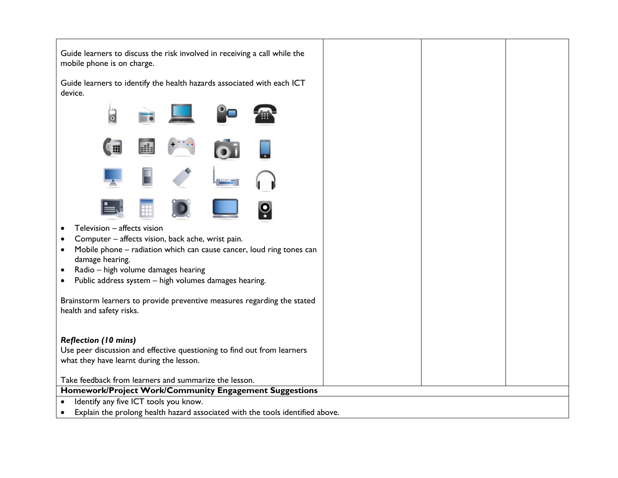| Guide learners to discuss the risk involved in receiving a call while the<br>mobile phone is on charge.         |  |
|-----------------------------------------------------------------------------------------------------------------|--|
| Guide learners to identify the health hazards associated with each ICT<br>device.                               |  |
| $\circ$                                                                                                         |  |
|                                                                                                                 |  |
|                                                                                                                 |  |
|                                                                                                                 |  |
| Television - affects vision                                                                                     |  |
| Computer - affects vision, back ache, wrist pain.                                                               |  |
| Mobile phone - radiation which can cause cancer, loud ring tones can<br>$\bullet$                               |  |
| damage hearing.                                                                                                 |  |
| Radio - high volume damages hearing<br>$\bullet$<br>Public address system - high volumes damages hearing.       |  |
| $\bullet$                                                                                                       |  |
| Brainstorm learners to provide preventive measures regarding the stated                                         |  |
| health and safety risks.                                                                                        |  |
|                                                                                                                 |  |
| <b>Reflection (10 mins)</b>                                                                                     |  |
| Use peer discussion and effective questioning to find out from learners                                         |  |
| what they have learnt during the lesson.                                                                        |  |
|                                                                                                                 |  |
| Take feedback from learners and summarize the lesson.<br>Homework/Project Work/Community Engagement Suggestions |  |
| Identify any five ICT tools you know.<br>$\bullet$                                                              |  |
| Explain the prolong health hazard associated with the tools identified above.                                   |  |
|                                                                                                                 |  |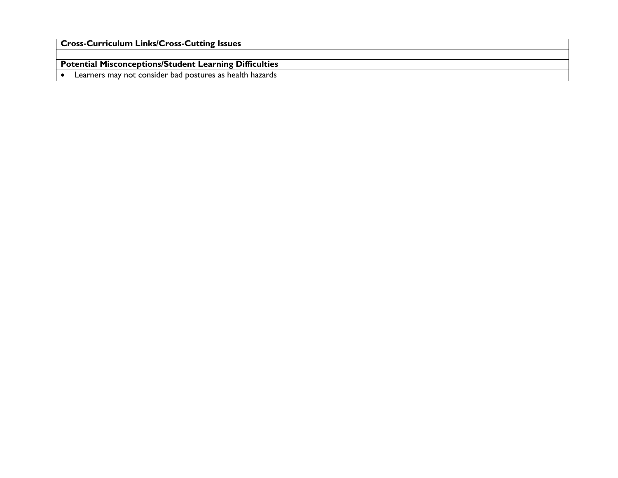| <b>Cross-Curriculum Links/Cross-Cutting Issues</b>       |
|----------------------------------------------------------|
|                                                          |
| Potential Misconceptions/Student Learning Difficulties   |
| Learners may not consider bad postures as health hazards |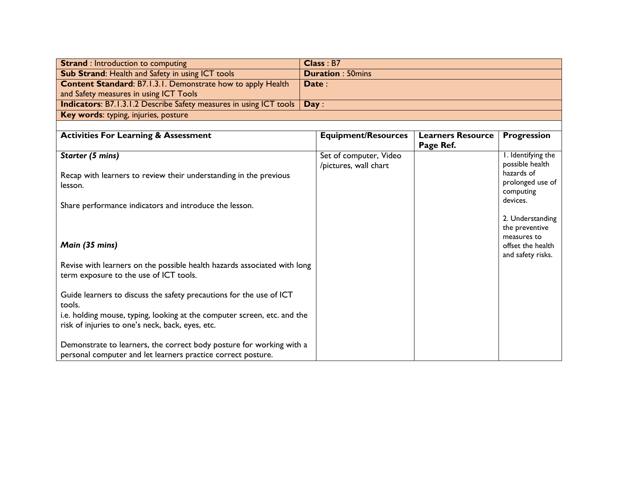| <b>Strand</b> : Introduction to computing                                         | Class : B7              |
|-----------------------------------------------------------------------------------|-------------------------|
| <b>Sub Strand: Health and Safety in using ICT tools</b>                           | <b>Duration: 50mins</b> |
| <b>Content Standard: B7.1.3.1. Demonstrate how to apply Health</b>                | Date:                   |
| and Safety measures in using ICT Tools                                            |                         |
| <b>Indicators:</b> B7.1.3.1.2 Describe Safety measures in using ICT tools   Day : |                         |
| Key words: typing, injuries, posture                                              |                         |

| <b>Activities For Learning &amp; Assessment</b>                          | <b>Equipment/Resources</b> | <b>Learners Resource</b> | <b>Progression</b>    |
|--------------------------------------------------------------------------|----------------------------|--------------------------|-----------------------|
|                                                                          |                            | Page Ref.                |                       |
| Starter (5 mins)                                                         | Set of computer, Video     |                          | I. Identifying the    |
|                                                                          | /pictures, wall chart      |                          | possible health       |
| Recap with learners to review their understanding in the previous        |                            |                          | hazards of            |
| lesson.                                                                  |                            |                          | prolonged use of      |
|                                                                          |                            |                          | computing<br>devices. |
| Share performance indicators and introduce the lesson.                   |                            |                          |                       |
|                                                                          |                            |                          | 2. Understanding      |
|                                                                          |                            |                          | the preventive        |
|                                                                          |                            |                          | measures to           |
| Main (35 mins)                                                           |                            |                          | offset the health     |
|                                                                          |                            |                          | and safety risks.     |
| Revise with learners on the possible health hazards associated with long |                            |                          |                       |
| term exposure to the use of ICT tools.                                   |                            |                          |                       |
| Guide learners to discuss the safety precautions for the use of ICT      |                            |                          |                       |
| tools.                                                                   |                            |                          |                       |
| i.e. holding mouse, typing, looking at the computer screen, etc. and the |                            |                          |                       |
| risk of injuries to one's neck, back, eyes, etc.                         |                            |                          |                       |
|                                                                          |                            |                          |                       |
| Demonstrate to learners, the correct body posture for working with a     |                            |                          |                       |
| personal computer and let learners practice correct posture.             |                            |                          |                       |